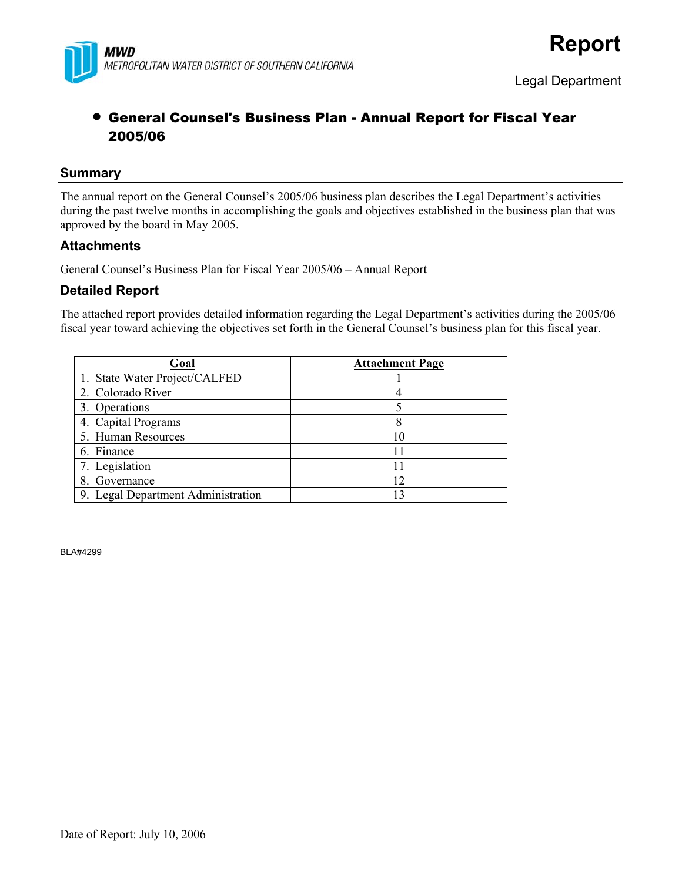

# • General Counsel's Business Plan - Annual Report for Fiscal Year 2005/06

# **Summary**

The annual report on the General Counsel's 2005/06 business plan describes the Legal Department's activities during the past twelve months in accomplishing the goals and objectives established in the business plan that was approved by the board in May 2005.

# **Attachments**

General Counsel's Business Plan for Fiscal Year 2005/06 – Annual Report

# **Detailed Report**

The attached report provides detailed information regarding the Legal Department's activities during the 2005/06 fiscal year toward achieving the objectives set forth in the General Counsel's business plan for this fiscal year.

| Goal                               | <b>Attachment Page</b> |
|------------------------------------|------------------------|
| 1. State Water Project/CALFED      |                        |
| 2. Colorado River                  |                        |
| 3. Operations                      |                        |
| 4. Capital Programs                |                        |
| 5. Human Resources                 | 10                     |
| 6. Finance                         |                        |
| 7. Legislation                     |                        |
| 8. Governance                      | 12                     |
| 9. Legal Department Administration | 13                     |

BLA#4299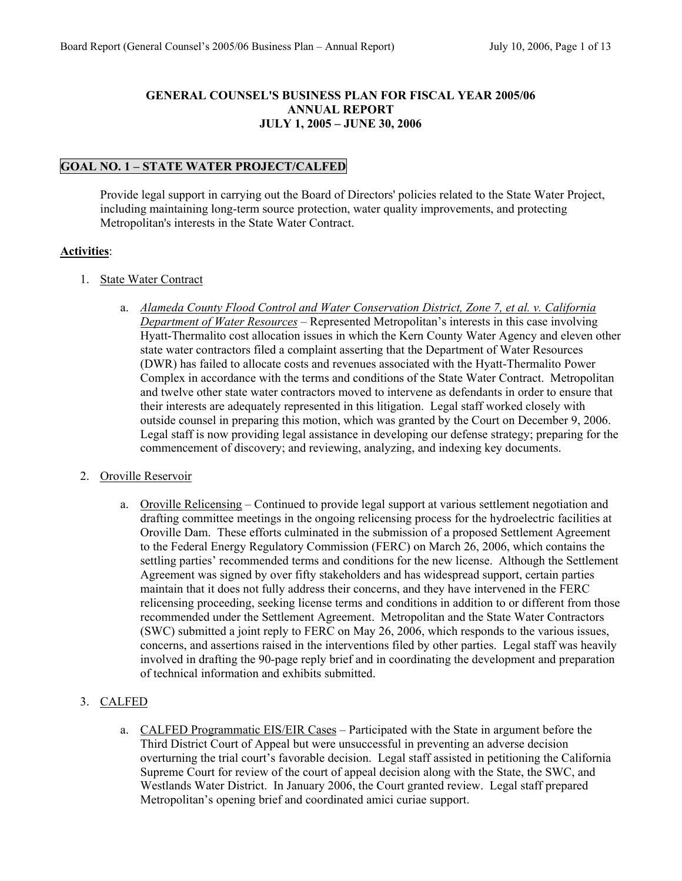#### **GENERAL COUNSEL'S BUSINESS PLAN FOR FISCAL YEAR 2005/06 ANNUAL REPORT JULY 1, 2005 – JUNE 30, 2006**

# **GOAL NO. 1 – STATE WATER PROJECT/CALFED**

Provide legal support in carrying out the Board of Directors' policies related to the State Water Project, including maintaining long-term source protection, water quality improvements, and protecting Metropolitan's interests in the State Water Contract.

### **Activities**:

- 1. State Water Contract
	- a. *Alameda County Flood Control and Water Conservation District, Zone 7, et al. v. California Department of Water Resources* – Represented Metropolitan's interests in this case involving Hyatt-Thermalito cost allocation issues in which the Kern County Water Agency and eleven other state water contractors filed a complaint asserting that the Department of Water Resources (DWR) has failed to allocate costs and revenues associated with the Hyatt-Thermalito Power Complex in accordance with the terms and conditions of the State Water Contract. Metropolitan and twelve other state water contractors moved to intervene as defendants in order to ensure that their interests are adequately represented in this litigation. Legal staff worked closely with outside counsel in preparing this motion, which was granted by the Court on December 9, 2006. Legal staff is now providing legal assistance in developing our defense strategy; preparing for the commencement of discovery; and reviewing, analyzing, and indexing key documents.

### 2. Oroville Reservoir

a. Oroville Relicensing – Continued to provide legal support at various settlement negotiation and drafting committee meetings in the ongoing relicensing process for the hydroelectric facilities at Oroville Dam. These efforts culminated in the submission of a proposed Settlement Agreement to the Federal Energy Regulatory Commission (FERC) on March 26, 2006, which contains the settling parties' recommended terms and conditions for the new license. Although the Settlement Agreement was signed by over fifty stakeholders and has widespread support, certain parties maintain that it does not fully address their concerns, and they have intervened in the FERC relicensing proceeding, seeking license terms and conditions in addition to or different from those recommended under the Settlement Agreement. Metropolitan and the State Water Contractors (SWC) submitted a joint reply to FERC on May 26, 2006, which responds to the various issues, concerns, and assertions raised in the interventions filed by other parties. Legal staff was heavily involved in drafting the 90-page reply brief and in coordinating the development and preparation of technical information and exhibits submitted.

### 3. CALFED

a. CALFED Programmatic EIS/EIR Cases – Participated with the State in argument before the Third District Court of Appeal but were unsuccessful in preventing an adverse decision overturning the trial court's favorable decision. Legal staff assisted in petitioning the California Supreme Court for review of the court of appeal decision along with the State, the SWC, and Westlands Water District. In January 2006, the Court granted review. Legal staff prepared Metropolitan's opening brief and coordinated amici curiae support.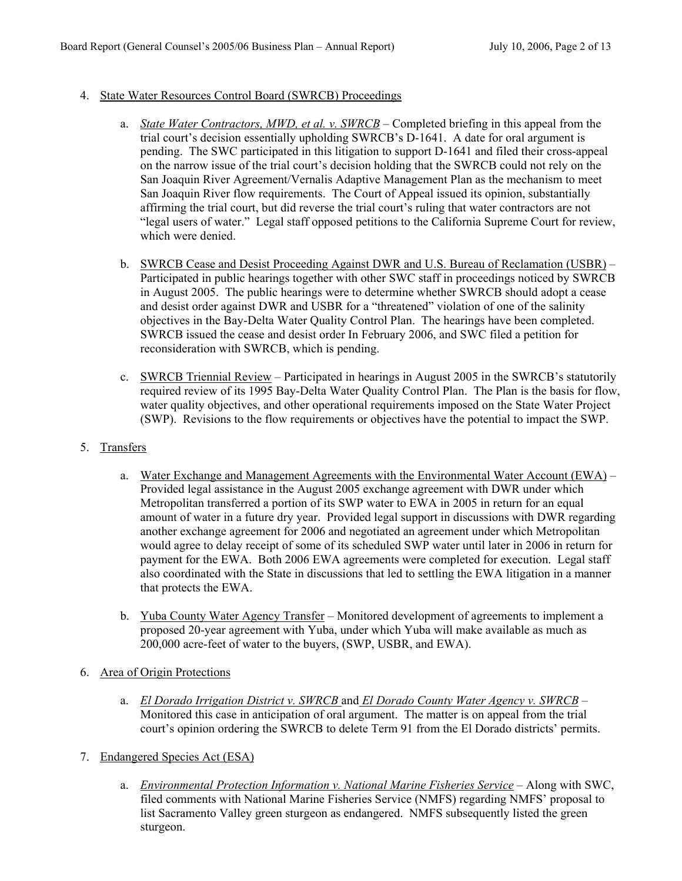### 4. State Water Resources Control Board (SWRCB) Proceedings

- a. *State Water Contractors, MWD, et al. v. SWRCB* Completed briefing in this appeal from the trial court's decision essentially upholding SWRCB's D-1641. A date for oral argument is pending. The SWC participated in this litigation to support D-1641 and filed their cross-appeal on the narrow issue of the trial court's decision holding that the SWRCB could not rely on the San Joaquin River Agreement/Vernalis Adaptive Management Plan as the mechanism to meet San Joaquin River flow requirements. The Court of Appeal issued its opinion, substantially affirming the trial court, but did reverse the trial court's ruling that water contractors are not "legal users of water." Legal staff opposed petitions to the California Supreme Court for review, which were denied.
- b. SWRCB Cease and Desist Proceeding Against DWR and U.S. Bureau of Reclamation (USBR) Participated in public hearings together with other SWC staff in proceedings noticed by SWRCB in August 2005. The public hearings were to determine whether SWRCB should adopt a cease and desist order against DWR and USBR for a "threatened" violation of one of the salinity objectives in the Bay-Delta Water Quality Control Plan. The hearings have been completed. SWRCB issued the cease and desist order In February 2006, and SWC filed a petition for reconsideration with SWRCB, which is pending.
- c. SWRCB Triennial Review Participated in hearings in August 2005 in the SWRCB's statutorily required review of its 1995 Bay-Delta Water Quality Control Plan. The Plan is the basis for flow, water quality objectives, and other operational requirements imposed on the State Water Project (SWP). Revisions to the flow requirements or objectives have the potential to impact the SWP.
- 5. Transfers
	- a. Water Exchange and Management Agreements with the Environmental Water Account (EWA) Provided legal assistance in the August 2005 exchange agreement with DWR under which Metropolitan transferred a portion of its SWP water to EWA in 2005 in return for an equal amount of water in a future dry year. Provided legal support in discussions with DWR regarding another exchange agreement for 2006 and negotiated an agreement under which Metropolitan would agree to delay receipt of some of its scheduled SWP water until later in 2006 in return for payment for the EWA. Both 2006 EWA agreements were completed for execution. Legal staff also coordinated with the State in discussions that led to settling the EWA litigation in a manner that protects the EWA.
	- b. Yuba County Water Agency Transfer Monitored development of agreements to implement a proposed 20-year agreement with Yuba, under which Yuba will make available as much as 200,000 acre-feet of water to the buyers, (SWP, USBR, and EWA).
- 6. Area of Origin Protections
	- a. *El Dorado Irrigation District v. SWRCB* and *El Dorado County Water Agency v. SWRCB* Monitored this case in anticipation of oral argument. The matter is on appeal from the trial court's opinion ordering the SWRCB to delete Term 91 from the El Dorado districts' permits.
- 7. Endangered Species Act (ESA)
	- a. *Environmental Protection Information v. National Marine Fisheries Service* Along with SWC, filed comments with National Marine Fisheries Service (NMFS) regarding NMFS' proposal to list Sacramento Valley green sturgeon as endangered. NMFS subsequently listed the green sturgeon.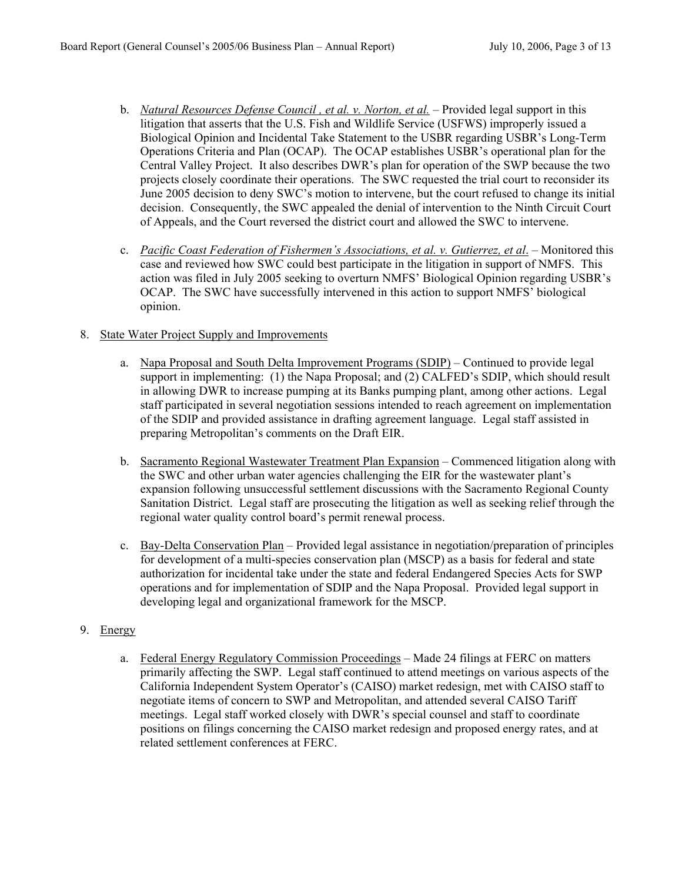- b. *Natural Resources Defense Council , et al. v. Norton, et al.* Provided legal support in this litigation that asserts that the U.S. Fish and Wildlife Service (USFWS) improperly issued a Biological Opinion and Incidental Take Statement to the USBR regarding USBR's Long-Term Operations Criteria and Plan (OCAP). The OCAP establishes USBR's operational plan for the Central Valley Project. It also describes DWR's plan for operation of the SWP because the two projects closely coordinate their operations. The SWC requested the trial court to reconsider its June 2005 decision to deny SWC's motion to intervene, but the court refused to change its initial decision. Consequently, the SWC appealed the denial of intervention to the Ninth Circuit Court of Appeals, and the Court reversed the district court and allowed the SWC to intervene.
- c. *Pacific Coast Federation of Fishermen's Associations, et al. v. Gutierrez, et al*. Monitored this case and reviewed how SWC could best participate in the litigation in support of NMFS. This action was filed in July 2005 seeking to overturn NMFS' Biological Opinion regarding USBR's OCAP. The SWC have successfully intervened in this action to support NMFS' biological opinion.

#### 8. State Water Project Supply and Improvements

- a. Napa Proposal and South Delta Improvement Programs (SDIP) Continued to provide legal support in implementing: (1) the Napa Proposal; and (2) CALFED's SDIP, which should result in allowing DWR to increase pumping at its Banks pumping plant, among other actions. Legal staff participated in several negotiation sessions intended to reach agreement on implementation of the SDIP and provided assistance in drafting agreement language. Legal staff assisted in preparing Metropolitan's comments on the Draft EIR.
- b. Sacramento Regional Wastewater Treatment Plan Expansion Commenced litigation along with the SWC and other urban water agencies challenging the EIR for the wastewater plant's expansion following unsuccessful settlement discussions with the Sacramento Regional County Sanitation District. Legal staff are prosecuting the litigation as well as seeking relief through the regional water quality control board's permit renewal process.
- c. Bay-Delta Conservation Plan Provided legal assistance in negotiation/preparation of principles for development of a multi-species conservation plan (MSCP) as a basis for federal and state authorization for incidental take under the state and federal Endangered Species Acts for SWP operations and for implementation of SDIP and the Napa Proposal. Provided legal support in developing legal and organizational framework for the MSCP.

### 9. Energy

a. Federal Energy Regulatory Commission Proceedings – Made 24 filings at FERC on matters primarily affecting the SWP. Legal staff continued to attend meetings on various aspects of the California Independent System Operator's (CAISO) market redesign, met with CAISO staff to negotiate items of concern to SWP and Metropolitan, and attended several CAISO Tariff meetings. Legal staff worked closely with DWR's special counsel and staff to coordinate positions on filings concerning the CAISO market redesign and proposed energy rates, and at related settlement conferences at FERC.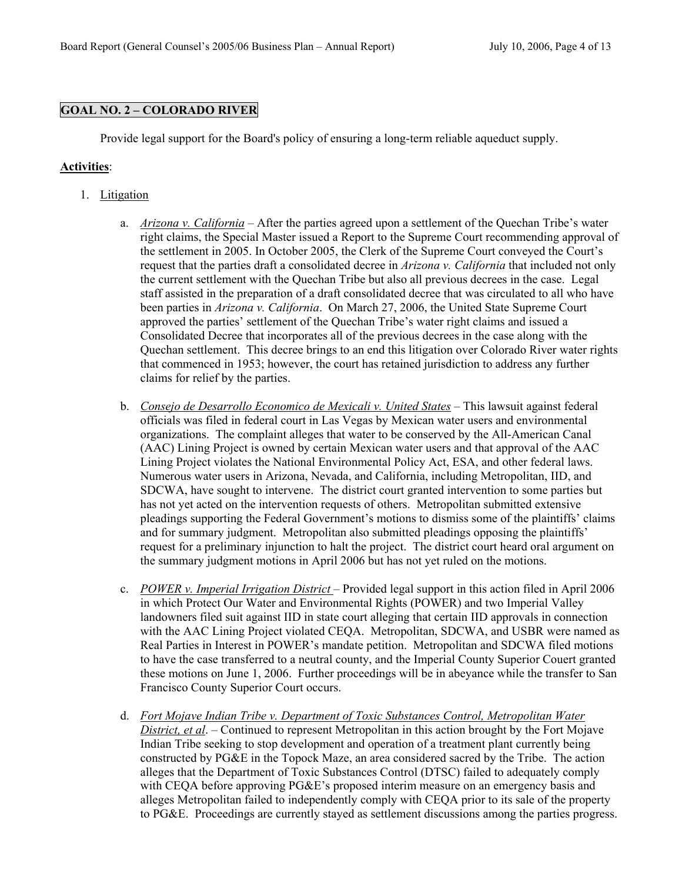## **GOAL NO. 2 – COLORADO RIVER**

Provide legal support for the Board's policy of ensuring a long-term reliable aqueduct supply.

- 1. Litigation
	- a. *Arizona v. California* After the parties agreed upon a settlement of the Quechan Tribe's water right claims, the Special Master issued a Report to the Supreme Court recommending approval of the settlement in 2005. In October 2005, the Clerk of the Supreme Court conveyed the Court's request that the parties draft a consolidated decree in *Arizona v. California* that included not only the current settlement with the Quechan Tribe but also all previous decrees in the case. Legal staff assisted in the preparation of a draft consolidated decree that was circulated to all who have been parties in *Arizona v. California*. On March 27, 2006, the United State Supreme Court approved the parties' settlement of the Quechan Tribe's water right claims and issued a Consolidated Decree that incorporates all of the previous decrees in the case along with the Quechan settlement. This decree brings to an end this litigation over Colorado River water rights that commenced in 1953; however, the court has retained jurisdiction to address any further claims for relief by the parties.
	- b. *Consejo de Desarrollo Economico de Mexicali v. United States* This lawsuit against federal officials was filed in federal court in Las Vegas by Mexican water users and environmental organizations. The complaint alleges that water to be conserved by the All-American Canal (AAC) Lining Project is owned by certain Mexican water users and that approval of the AAC Lining Project violates the National Environmental Policy Act, ESA, and other federal laws. Numerous water users in Arizona, Nevada, and California, including Metropolitan, IID, and SDCWA, have sought to intervene. The district court granted intervention to some parties but has not yet acted on the intervention requests of others. Metropolitan submitted extensive pleadings supporting the Federal Government's motions to dismiss some of the plaintiffs' claims and for summary judgment. Metropolitan also submitted pleadings opposing the plaintiffs' request for a preliminary injunction to halt the project. The district court heard oral argument on the summary judgment motions in April 2006 but has not yet ruled on the motions.
	- c. *POWER v. Imperial Irrigation District* Provided legal support in this action filed in April 2006 in which Protect Our Water and Environmental Rights (POWER) and two Imperial Valley landowners filed suit against IID in state court alleging that certain IID approvals in connection with the AAC Lining Project violated CEQA. Metropolitan, SDCWA, and USBR were named as Real Parties in Interest in POWER's mandate petition. Metropolitan and SDCWA filed motions to have the case transferred to a neutral county, and the Imperial County Superior Couert granted these motions on June 1, 2006. Further proceedings will be in abeyance while the transfer to San Francisco County Superior Court occurs.
	- d. *Fort Mojave Indian Tribe v. Department of Toxic Substances Control, Metropolitan Water District, et al*. – Continued to represent Metropolitan in this action brought by the Fort Mojave Indian Tribe seeking to stop development and operation of a treatment plant currently being constructed by PG&E in the Topock Maze, an area considered sacred by the Tribe. The action alleges that the Department of Toxic Substances Control (DTSC) failed to adequately comply with CEQA before approving PG&E's proposed interim measure on an emergency basis and alleges Metropolitan failed to independently comply with CEQA prior to its sale of the property to PG&E. Proceedings are currently stayed as settlement discussions among the parties progress.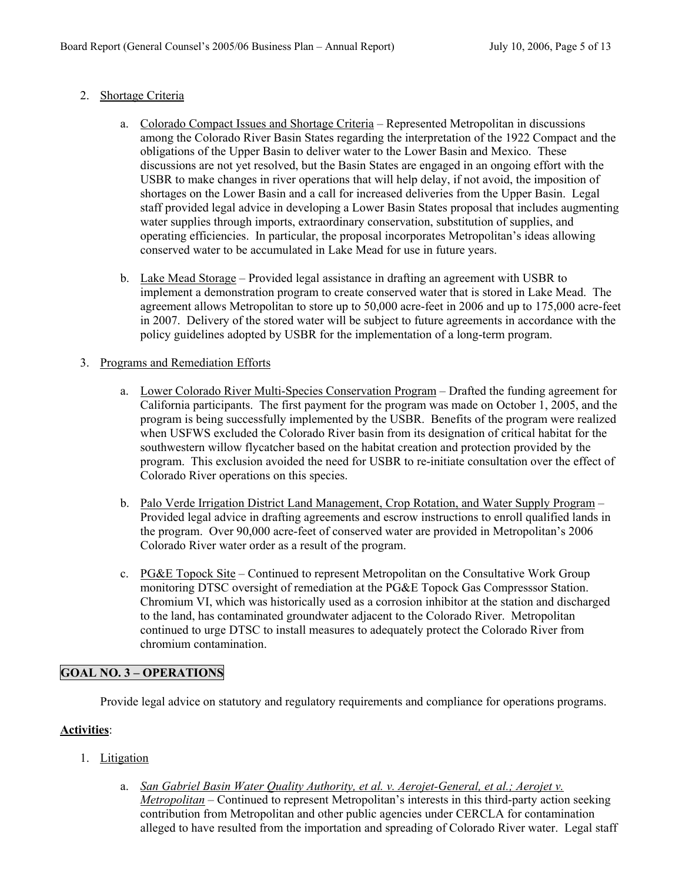# 2. Shortage Criteria

- a. Colorado Compact Issues and Shortage Criteria Represented Metropolitan in discussions among the Colorado River Basin States regarding the interpretation of the 1922 Compact and the obligations of the Upper Basin to deliver water to the Lower Basin and Mexico. These discussions are not yet resolved, but the Basin States are engaged in an ongoing effort with the USBR to make changes in river operations that will help delay, if not avoid, the imposition of shortages on the Lower Basin and a call for increased deliveries from the Upper Basin. Legal staff provided legal advice in developing a Lower Basin States proposal that includes augmenting water supplies through imports, extraordinary conservation, substitution of supplies, and operating efficiencies. In particular, the proposal incorporates Metropolitan's ideas allowing conserved water to be accumulated in Lake Mead for use in future years.
- b. Lake Mead Storage Provided legal assistance in drafting an agreement with USBR to implement a demonstration program to create conserved water that is stored in Lake Mead. The agreement allows Metropolitan to store up to 50,000 acre-feet in 2006 and up to 175,000 acre-feet in 2007. Delivery of the stored water will be subject to future agreements in accordance with the policy guidelines adopted by USBR for the implementation of a long-term program.

### 3. Programs and Remediation Efforts

- a. Lower Colorado River Multi-Species Conservation Program Drafted the funding agreement for California participants. The first payment for the program was made on October 1, 2005, and the program is being successfully implemented by the USBR. Benefits of the program were realized when USFWS excluded the Colorado River basin from its designation of critical habitat for the southwestern willow flycatcher based on the habitat creation and protection provided by the program. This exclusion avoided the need for USBR to re-initiate consultation over the effect of Colorado River operations on this species.
- b. Palo Verde Irrigation District Land Management, Crop Rotation, and Water Supply Program Provided legal advice in drafting agreements and escrow instructions to enroll qualified lands in the program. Over 90,000 acre-feet of conserved water are provided in Metropolitan's 2006 Colorado River water order as a result of the program.
- c. PG&E Topock Site Continued to represent Metropolitan on the Consultative Work Group monitoring DTSC oversight of remediation at the PG&E Topock Gas Compresssor Station. Chromium VI, which was historically used as a corrosion inhibitor at the station and discharged to the land, has contaminated groundwater adjacent to the Colorado River. Metropolitan continued to urge DTSC to install measures to adequately protect the Colorado River from chromium contamination.

# **GOAL NO. 3 – OPERATIONS**

Provide legal advice on statutory and regulatory requirements and compliance for operations programs.

- 1. Litigation
	- a. *San Gabriel Basin Water Quality Authority, et al. v. Aerojet-General, et al.; Aerojet v. Metropolitan* – Continued to represent Metropolitan's interests in this third-party action seeking contribution from Metropolitan and other public agencies under CERCLA for contamination alleged to have resulted from the importation and spreading of Colorado River water. Legal staff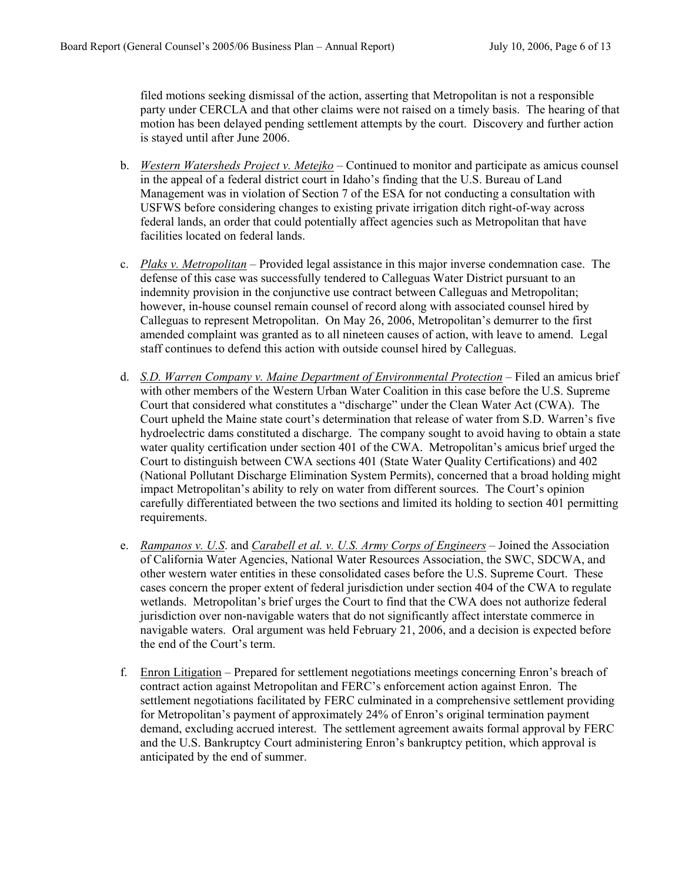filed motions seeking dismissal of the action, asserting that Metropolitan is not a responsible party under CERCLA and that other claims were not raised on a timely basis. The hearing of that motion has been delayed pending settlement attempts by the court. Discovery and further action is stayed until after June 2006.

- b. *Western Watersheds Project v. Metejko* Continued to monitor and participate as amicus counsel in the appeal of a federal district court in Idaho's finding that the U.S. Bureau of Land Management was in violation of Section 7 of the ESA for not conducting a consultation with USFWS before considering changes to existing private irrigation ditch right-of-way across federal lands, an order that could potentially affect agencies such as Metropolitan that have facilities located on federal lands.
- c. *Plaks v. Metropolitan* Provided legal assistance in this major inverse condemnation case. The defense of this case was successfully tendered to Calleguas Water District pursuant to an indemnity provision in the conjunctive use contract between Calleguas and Metropolitan; however, in-house counsel remain counsel of record along with associated counsel hired by Calleguas to represent Metropolitan. On May 26, 2006, Metropolitan's demurrer to the first amended complaint was granted as to all nineteen causes of action, with leave to amend. Legal staff continues to defend this action with outside counsel hired by Calleguas.
- d. *S.D. Warren Company v. Maine Department of Environmental Protection* Filed an amicus brief with other members of the Western Urban Water Coalition in this case before the U.S. Supreme Court that considered what constitutes a "discharge" under the Clean Water Act (CWA). The Court upheld the Maine state court's determination that release of water from S.D. Warren's five hydroelectric dams constituted a discharge. The company sought to avoid having to obtain a state water quality certification under section 401 of the CWA. Metropolitan's amicus brief urged the Court to distinguish between CWA sections 401 (State Water Quality Certifications) and 402 (National Pollutant Discharge Elimination System Permits), concerned that a broad holding might impact Metropolitan's ability to rely on water from different sources. The Court's opinion carefully differentiated between the two sections and limited its holding to section 401 permitting requirements.
- e. *Rampanos v. U.S*. and *Carabell et al. v. U.S. Army Corps of Engineers* Joined the Association of California Water Agencies, National Water Resources Association, the SWC, SDCWA, and other western water entities in these consolidated cases before the U.S. Supreme Court. These cases concern the proper extent of federal jurisdiction under section 404 of the CWA to regulate wetlands. Metropolitan's brief urges the Court to find that the CWA does not authorize federal jurisdiction over non-navigable waters that do not significantly affect interstate commerce in navigable waters. Oral argument was held February 21, 2006, and a decision is expected before the end of the Court's term.
- f. Enron Litigation Prepared for settlement negotiations meetings concerning Enron's breach of contract action against Metropolitan and FERC's enforcement action against Enron. The settlement negotiations facilitated by FERC culminated in a comprehensive settlement providing for Metropolitan's payment of approximately 24% of Enron's original termination payment demand, excluding accrued interest. The settlement agreement awaits formal approval by FERC and the U.S. Bankruptcy Court administering Enron's bankruptcy petition, which approval is anticipated by the end of summer.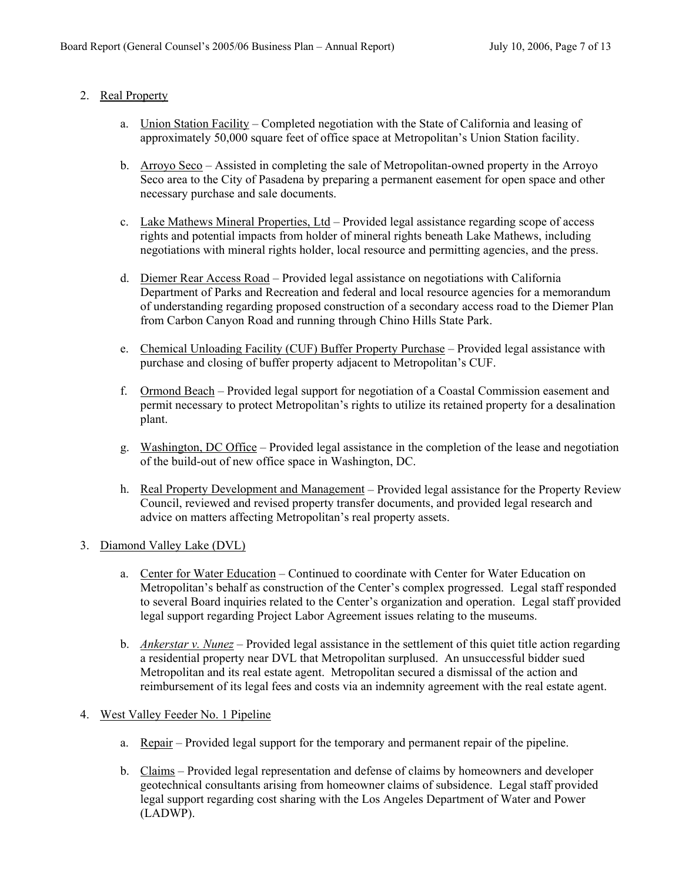# 2. Real Property

- a. Union Station Facility Completed negotiation with the State of California and leasing of approximately 50,000 square feet of office space at Metropolitan's Union Station facility.
- b. Arroyo Seco Assisted in completing the sale of Metropolitan-owned property in the Arroyo Seco area to the City of Pasadena by preparing a permanent easement for open space and other necessary purchase and sale documents.
- c. Lake Mathews Mineral Properties, Ltd Provided legal assistance regarding scope of access rights and potential impacts from holder of mineral rights beneath Lake Mathews, including negotiations with mineral rights holder, local resource and permitting agencies, and the press.
- d. Diemer Rear Access Road Provided legal assistance on negotiations with California Department of Parks and Recreation and federal and local resource agencies for a memorandum of understanding regarding proposed construction of a secondary access road to the Diemer Plan from Carbon Canyon Road and running through Chino Hills State Park.
- e. Chemical Unloading Facility (CUF) Buffer Property Purchase Provided legal assistance with purchase and closing of buffer property adjacent to Metropolitan's CUF.
- f. Ormond Beach Provided legal support for negotiation of a Coastal Commission easement and permit necessary to protect Metropolitan's rights to utilize its retained property for a desalination plant.
- g. Washington, DC Office Provided legal assistance in the completion of the lease and negotiation of the build-out of new office space in Washington, DC.
- h. Real Property Development and Management Provided legal assistance for the Property Review Council, reviewed and revised property transfer documents, and provided legal research and advice on matters affecting Metropolitan's real property assets.

### 3. Diamond Valley Lake (DVL)

- a. Center for Water Education Continued to coordinate with Center for Water Education on Metropolitan's behalf as construction of the Center's complex progressed. Legal staff responded to several Board inquiries related to the Center's organization and operation. Legal staff provided legal support regarding Project Labor Agreement issues relating to the museums.
- b. *Ankerstar v. Nunez* Provided legal assistance in the settlement of this quiet title action regarding a residential property near DVL that Metropolitan surplused. An unsuccessful bidder sued Metropolitan and its real estate agent. Metropolitan secured a dismissal of the action and reimbursement of its legal fees and costs via an indemnity agreement with the real estate agent.

### 4. West Valley Feeder No. 1 Pipeline

- a. Repair Provided legal support for the temporary and permanent repair of the pipeline.
- b. Claims Provided legal representation and defense of claims by homeowners and developer geotechnical consultants arising from homeowner claims of subsidence. Legal staff provided legal support regarding cost sharing with the Los Angeles Department of Water and Power (LADWP).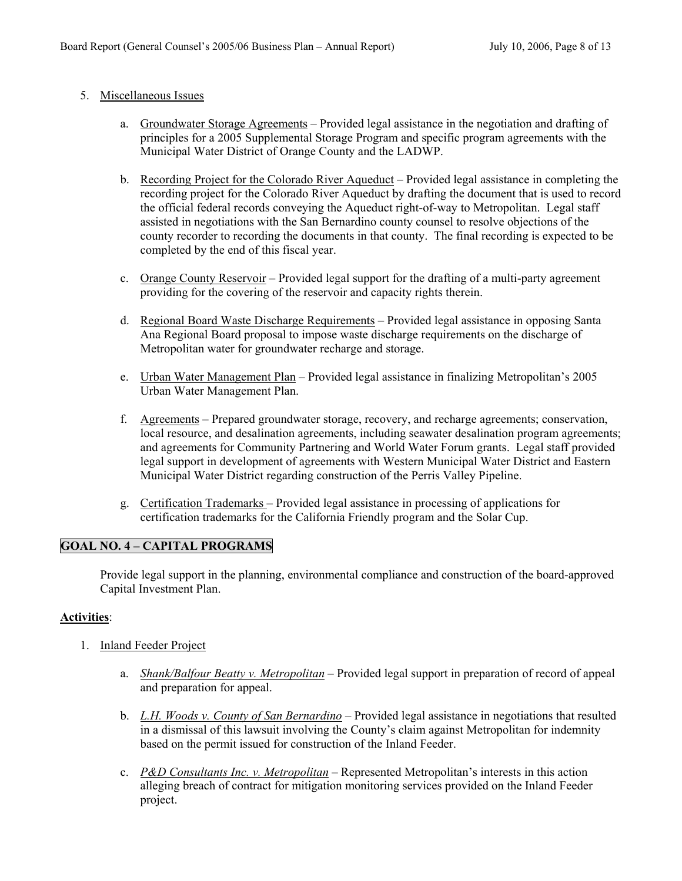#### 5. Miscellaneous Issues

- a. Groundwater Storage Agreements Provided legal assistance in the negotiation and drafting of principles for a 2005 Supplemental Storage Program and specific program agreements with the Municipal Water District of Orange County and the LADWP.
- b. Recording Project for the Colorado River Aqueduct Provided legal assistance in completing the recording project for the Colorado River Aqueduct by drafting the document that is used to record the official federal records conveying the Aqueduct right-of-way to Metropolitan. Legal staff assisted in negotiations with the San Bernardino county counsel to resolve objections of the county recorder to recording the documents in that county. The final recording is expected to be completed by the end of this fiscal year.
- c. Orange County Reservoir Provided legal support for the drafting of a multi-party agreement providing for the covering of the reservoir and capacity rights therein.
- d. Regional Board Waste Discharge Requirements Provided legal assistance in opposing Santa Ana Regional Board proposal to impose waste discharge requirements on the discharge of Metropolitan water for groundwater recharge and storage.
- e. Urban Water Management Plan Provided legal assistance in finalizing Metropolitan's 2005 Urban Water Management Plan.
- f. Agreements Prepared groundwater storage, recovery, and recharge agreements; conservation, local resource, and desalination agreements, including seawater desalination program agreements; and agreements for Community Partnering and World Water Forum grants. Legal staff provided legal support in development of agreements with Western Municipal Water District and Eastern Municipal Water District regarding construction of the Perris Valley Pipeline.
- g. Certification Trademarks Provided legal assistance in processing of applications for certification trademarks for the California Friendly program and the Solar Cup.

### **GOAL NO. 4 – CAPITAL PROGRAMS**

Provide legal support in the planning, environmental compliance and construction of the board-approved Capital Investment Plan.

- 1. Inland Feeder Project
	- a. *Shank/Balfour Beatty v. Metropolitan* Provided legal support in preparation of record of appeal and preparation for appeal.
	- b. *L.H. Woods v. County of San Bernardino* Provided legal assistance in negotiations that resulted in a dismissal of this lawsuit involving the County's claim against Metropolitan for indemnity based on the permit issued for construction of the Inland Feeder.
	- c. *P&D Consultants Inc. v. Metropolitan* Represented Metropolitan's interests in this action alleging breach of contract for mitigation monitoring services provided on the Inland Feeder project.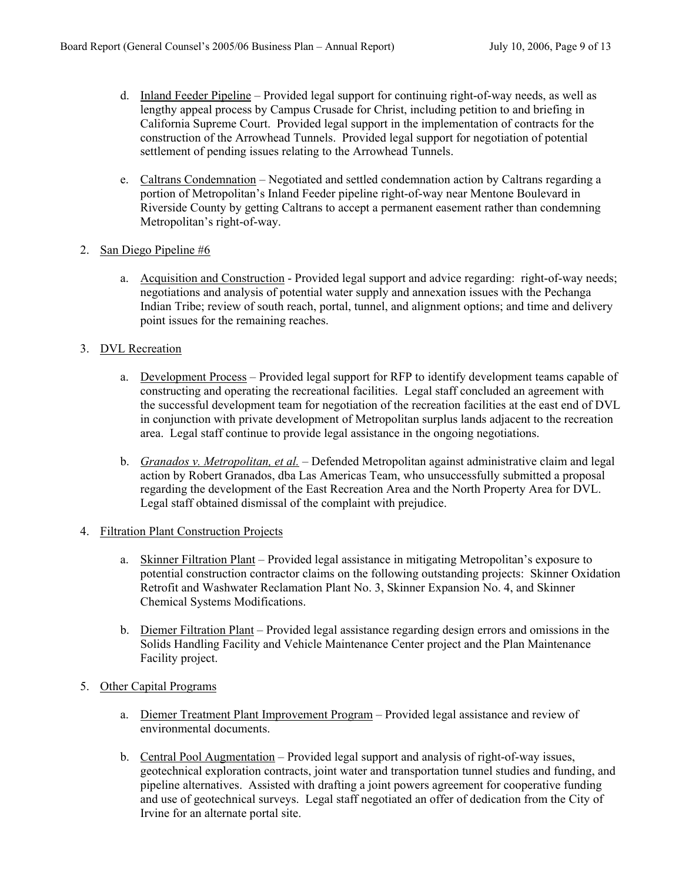- d. Inland Feeder Pipeline Provided legal support for continuing right-of-way needs, as well as lengthy appeal process by Campus Crusade for Christ, including petition to and briefing in California Supreme Court. Provided legal support in the implementation of contracts for the construction of the Arrowhead Tunnels. Provided legal support for negotiation of potential settlement of pending issues relating to the Arrowhead Tunnels.
- e. Caltrans Condemnation Negotiated and settled condemnation action by Caltrans regarding a portion of Metropolitan's Inland Feeder pipeline right-of-way near Mentone Boulevard in Riverside County by getting Caltrans to accept a permanent easement rather than condemning Metropolitan's right-of-way.
- 2. San Diego Pipeline #6
	- a. Acquisition and Construction Provided legal support and advice regarding: right-of-way needs; negotiations and analysis of potential water supply and annexation issues with the Pechanga Indian Tribe; review of south reach, portal, tunnel, and alignment options; and time and delivery point issues for the remaining reaches.
- 3. DVL Recreation
	- a. Development Process Provided legal support for RFP to identify development teams capable of constructing and operating the recreational facilities. Legal staff concluded an agreement with the successful development team for negotiation of the recreation facilities at the east end of DVL in conjunction with private development of Metropolitan surplus lands adjacent to the recreation area. Legal staff continue to provide legal assistance in the ongoing negotiations.
	- b. *Granados v. Metropolitan, et al.* Defended Metropolitan against administrative claim and legal action by Robert Granados, dba Las Americas Team, who unsuccessfully submitted a proposal regarding the development of the East Recreation Area and the North Property Area for DVL. Legal staff obtained dismissal of the complaint with prejudice.
- 4. Filtration Plant Construction Projects
	- a. Skinner Filtration Plant Provided legal assistance in mitigating Metropolitan's exposure to potential construction contractor claims on the following outstanding projects: Skinner Oxidation Retrofit and Washwater Reclamation Plant No. 3, Skinner Expansion No. 4, and Skinner Chemical Systems Modifications.
	- b. Diemer Filtration Plant Provided legal assistance regarding design errors and omissions in the Solids Handling Facility and Vehicle Maintenance Center project and the Plan Maintenance Facility project.
- 5. Other Capital Programs
	- a. Diemer Treatment Plant Improvement Program Provided legal assistance and review of environmental documents.
	- b. Central Pool Augmentation Provided legal support and analysis of right-of-way issues, geotechnical exploration contracts, joint water and transportation tunnel studies and funding, and pipeline alternatives. Assisted with drafting a joint powers agreement for cooperative funding and use of geotechnical surveys. Legal staff negotiated an offer of dedication from the City of Irvine for an alternate portal site.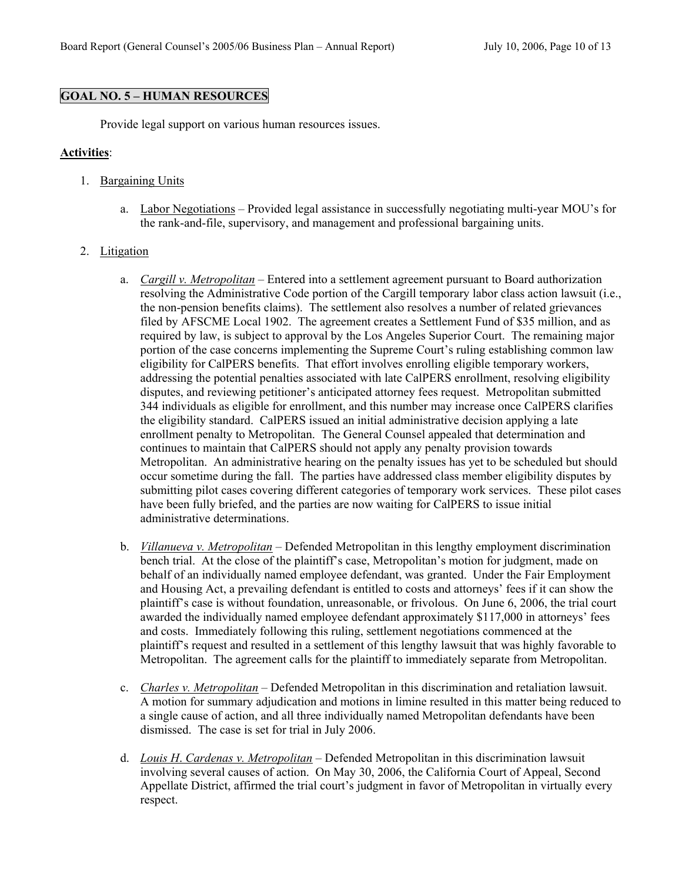#### **GOAL NO. 5 – HUMAN RESOURCES**

Provide legal support on various human resources issues.

#### **Activities**:

- 1. Bargaining Units
	- a. Labor Negotiations Provided legal assistance in successfully negotiating multi-year MOU's for the rank-and-file, supervisory, and management and professional bargaining units.

#### 2. Litigation

- a. *Cargill v. Metropolitan* Entered into a settlement agreement pursuant to Board authorization resolving the Administrative Code portion of the Cargill temporary labor class action lawsuit (i.e., the non-pension benefits claims). The settlement also resolves a number of related grievances filed by AFSCME Local 1902. The agreement creates a Settlement Fund of \$35 million, and as required by law, is subject to approval by the Los Angeles Superior Court. The remaining major portion of the case concerns implementing the Supreme Court's ruling establishing common law eligibility for CalPERS benefits. That effort involves enrolling eligible temporary workers, addressing the potential penalties associated with late CalPERS enrollment, resolving eligibility disputes, and reviewing petitioner's anticipated attorney fees request. Metropolitan submitted 344 individuals as eligible for enrollment, and this number may increase once CalPERS clarifies the eligibility standard. CalPERS issued an initial administrative decision applying a late enrollment penalty to Metropolitan. The General Counsel appealed that determination and continues to maintain that CalPERS should not apply any penalty provision towards Metropolitan. An administrative hearing on the penalty issues has yet to be scheduled but should occur sometime during the fall. The parties have addressed class member eligibility disputes by submitting pilot cases covering different categories of temporary work services. These pilot cases have been fully briefed, and the parties are now waiting for CalPERS to issue initial administrative determinations.
- b. *Villanueva v. Metropolitan* Defended Metropolitan in this lengthy employment discrimination bench trial. At the close of the plaintiff's case, Metropolitan's motion for judgment, made on behalf of an individually named employee defendant, was granted. Under the Fair Employment and Housing Act, a prevailing defendant is entitled to costs and attorneys' fees if it can show the plaintiff's case is without foundation, unreasonable, or frivolous. On June 6, 2006, the trial court awarded the individually named employee defendant approximately \$117,000 in attorneys' fees and costs. Immediately following this ruling, settlement negotiations commenced at the plaintiff's request and resulted in a settlement of this lengthy lawsuit that was highly favorable to Metropolitan. The agreement calls for the plaintiff to immediately separate from Metropolitan.
- c. *Charles v. Metropolitan* Defended Metropolitan in this discrimination and retaliation lawsuit. A motion for summary adjudication and motions in limine resulted in this matter being reduced to a single cause of action, and all three individually named Metropolitan defendants have been dismissed. The case is set for trial in July 2006.
- d. *Louis H*. *Cardenas v. Metropolitan* Defended Metropolitan in this discrimination lawsuit involving several causes of action. On May 30, 2006, the California Court of Appeal, Second Appellate District, affirmed the trial court's judgment in favor of Metropolitan in virtually every respect.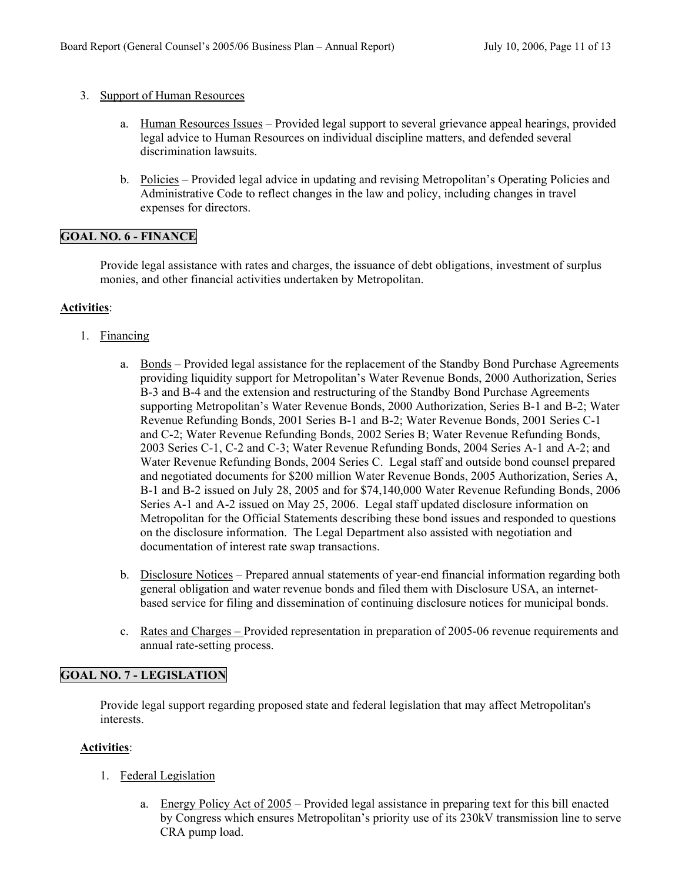### 3. Support of Human Resources

- a. Human Resources Issues Provided legal support to several grievance appeal hearings, provided legal advice to Human Resources on individual discipline matters, and defended several discrimination lawsuits.
- b. Policies Provided legal advice in updating and revising Metropolitan's Operating Policies and Administrative Code to reflect changes in the law and policy, including changes in travel expenses for directors.

# **GOAL NO. 6 - FINANCE**

Provide legal assistance with rates and charges, the issuance of debt obligations, investment of surplus monies, and other financial activities undertaken by Metropolitan.

### **Activities**:

- 1. Financing
	- a. Bonds Provided legal assistance for the replacement of the Standby Bond Purchase Agreements providing liquidity support for Metropolitan's Water Revenue Bonds, 2000 Authorization, Series B-3 and B-4 and the extension and restructuring of the Standby Bond Purchase Agreements supporting Metropolitan's Water Revenue Bonds, 2000 Authorization, Series B-1 and B-2; Water Revenue Refunding Bonds, 2001 Series B-1 and B-2; Water Revenue Bonds, 2001 Series C-1 and C-2; Water Revenue Refunding Bonds, 2002 Series B; Water Revenue Refunding Bonds, 2003 Series C-1, C-2 and C-3; Water Revenue Refunding Bonds, 2004 Series A-1 and A-2; and Water Revenue Refunding Bonds, 2004 Series C. Legal staff and outside bond counsel prepared and negotiated documents for \$200 million Water Revenue Bonds, 2005 Authorization, Series A, B-1 and B-2 issued on July 28, 2005 and for \$74,140,000 Water Revenue Refunding Bonds, 2006 Series A-1 and A-2 issued on May 25, 2006. Legal staff updated disclosure information on Metropolitan for the Official Statements describing these bond issues and responded to questions on the disclosure information. The Legal Department also assisted with negotiation and documentation of interest rate swap transactions.
	- b. Disclosure Notices Prepared annual statements of year-end financial information regarding both general obligation and water revenue bonds and filed them with Disclosure USA, an internetbased service for filing and dissemination of continuing disclosure notices for municipal bonds.
	- c. Rates and Charges Provided representation in preparation of 2005-06 revenue requirements and annual rate-setting process.

### **GOAL NO. 7 - LEGISLATION**

Provide legal support regarding proposed state and federal legislation that may affect Metropolitan's interests.

- 1. Federal Legislation
	- a. Energy Policy Act of 2005 Provided legal assistance in preparing text for this bill enacted by Congress which ensures Metropolitan's priority use of its 230kV transmission line to serve CRA pump load.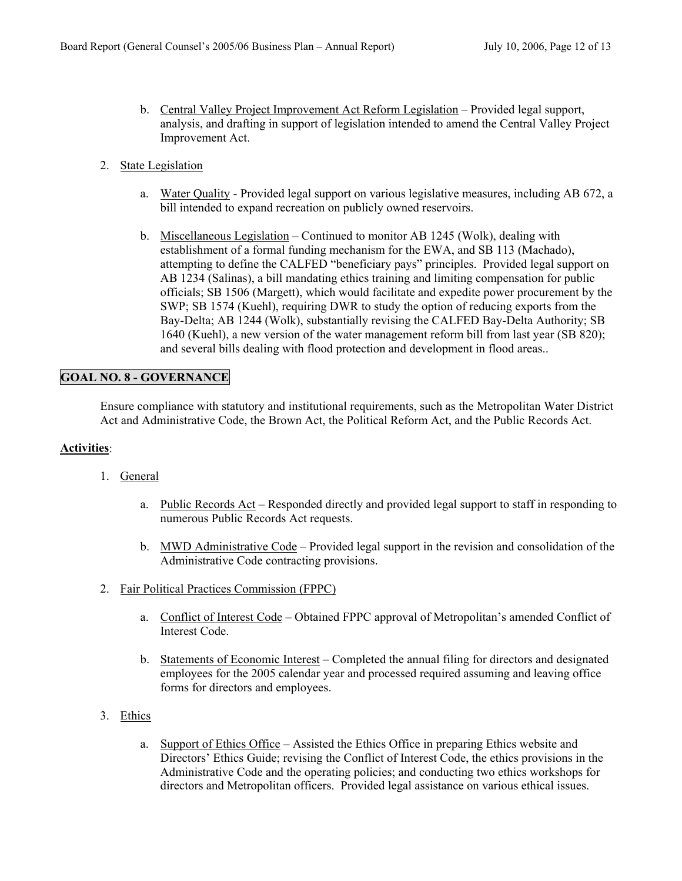- b. Central Valley Project Improvement Act Reform Legislation Provided legal support, analysis, and drafting in support of legislation intended to amend the Central Valley Project Improvement Act.
- 2. State Legislation
	- a. Water Quality Provided legal support on various legislative measures, including AB 672, a bill intended to expand recreation on publicly owned reservoirs.
	- b. Miscellaneous Legislation Continued to monitor AB 1245 (Wolk), dealing with establishment of a formal funding mechanism for the EWA, and SB 113 (Machado), attempting to define the CALFED "beneficiary pays" principles. Provided legal support on AB 1234 (Salinas), a bill mandating ethics training and limiting compensation for public officials; SB 1506 (Margett), which would facilitate and expedite power procurement by the SWP; SB 1574 (Kuehl), requiring DWR to study the option of reducing exports from the Bay-Delta; AB 1244 (Wolk), substantially revising the CALFED Bay-Delta Authority; SB 1640 (Kuehl), a new version of the water management reform bill from last year (SB 820); and several bills dealing with flood protection and development in flood areas..

### **GOAL NO. 8 - GOVERNANCE**

Ensure compliance with statutory and institutional requirements, such as the Metropolitan Water District Act and Administrative Code, the Brown Act, the Political Reform Act, and the Public Records Act.

- 1. General
	- a. Public Records Act Responded directly and provided legal support to staff in responding to numerous Public Records Act requests.
	- b. MWD Administrative Code Provided legal support in the revision and consolidation of the Administrative Code contracting provisions.
- 2. Fair Political Practices Commission (FPPC)
	- a. Conflict of Interest Code Obtained FPPC approval of Metropolitan's amended Conflict of Interest Code.
	- b. Statements of Economic Interest Completed the annual filing for directors and designated employees for the 2005 calendar year and processed required assuming and leaving office forms for directors and employees.
- 3. Ethics
	- a. Support of Ethics Office Assisted the Ethics Office in preparing Ethics website and Directors' Ethics Guide; revising the Conflict of Interest Code, the ethics provisions in the Administrative Code and the operating policies; and conducting two ethics workshops for directors and Metropolitan officers. Provided legal assistance on various ethical issues.